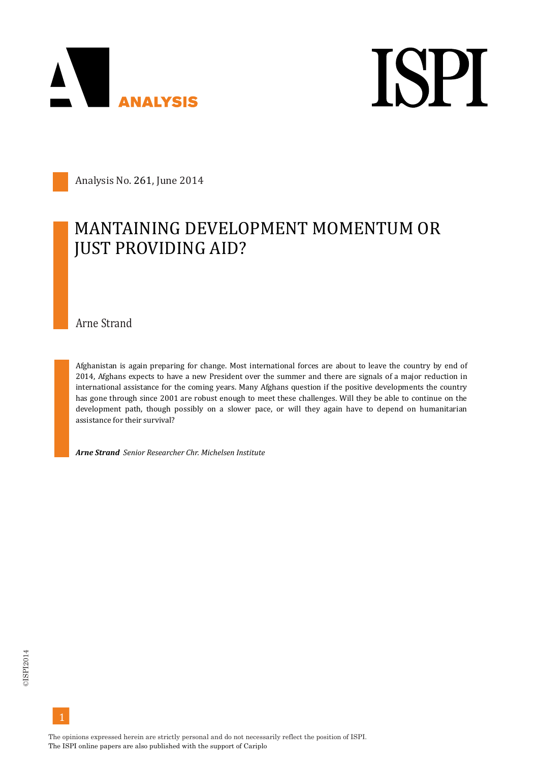

**ISPI** 

Analysis No. 261, June 2014

## MANTAINING DEVELOPMENT MOMENTUM OR **JUST PROVIDING AID?**

Arne Strand

Afghanistan is again preparing for change. Most international forces are about to leave the country by end of 2014, Afghans expects to have a new President over the summer and there are signals of a major reduction in international assistance for the coming years. Many Afghans question if the positive developments the country has gone through since 2001 are robust enough to meet these challenges. Will they be able to continue on the development path, though possibly on a slower pace, or will they again have to depend on humanitarian assistance for their survival?

*Arne Strand Senior Researcher Chr. Michelsen Institute*

The opinions expressed herein are strictly personal and do not necessarily reflect the position of ISPI. The ISPI online papers are also published with the support of Cariplo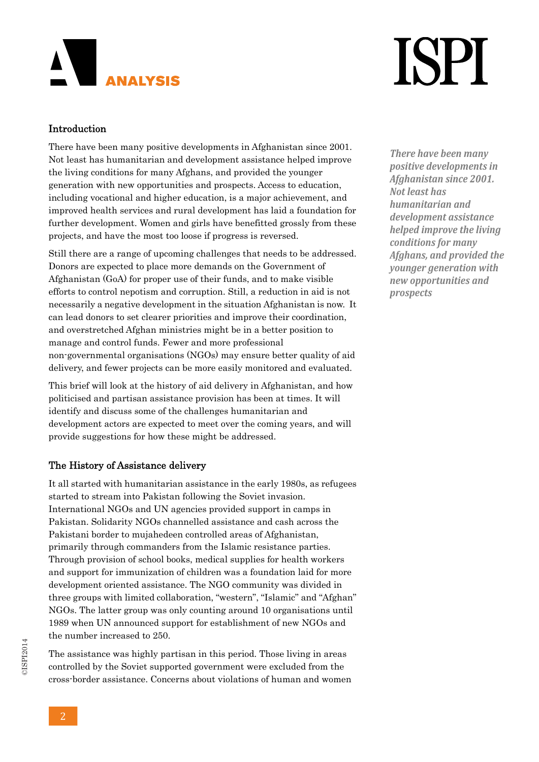# **ANALYSIS**

# **ISPI**

### Introduction

There have been many positive developments in Afghanistan since 2001. Not least has humanitarian and development assistance helped improve the living conditions for many Afghans, and provided the younger generation with new opportunities and prospects. Access to education, including vocational and higher education, is a major achievement, and improved health services and rural development has laid a foundation for further development. Women and girls have benefitted grossly from these projects, and have the most too loose if progress is reversed.

Still there are a range of upcoming challenges that needs to be addressed. Donors are expected to place more demands on the Government of Afghanistan (GoA) for proper use of their funds, and to make visible efforts to control nepotism and corruption. Still, a reduction in aid is not necessarily a negative development in the situation Afghanistan is now. It can lead donors to set clearer priorities and improve their coordination, and overstretched Afghan ministries might be in a better position to manage and control funds. Fewer and more professional non-governmental organisations (NGOs) may ensure better quality of aid delivery, and fewer projects can be more easily monitored and evaluated.

This brief will look at the history of aid delivery in Afghanistan, and how politicised and partisan assistance provision has been at times. It will identify and discuss some of the challenges humanitarian and development actors are expected to meet over the coming years, and will provide suggestions for how these might be addressed.

### The History of Assistance delivery

It all started with humanitarian assistance in the early 1980s, as refugees started to stream into Pakistan following the Soviet invasion. International NGOs and UN agencies provided support in camps in Pakistan. Solidarity NGOs channelled assistance and cash across the Pakistani border to mujahedeen controlled areas of Afghanistan, primarily through commanders from the Islamic resistance parties. Through provision of school books, medical supplies for health workers and support for immunization of children was a foundation laid for more development oriented assistance. The NGO community was divided in three groups with limited collaboration, "western", "Islamic" and "Afghan" NGOs. The latter group was only counting around 10 organisations until 1989 when UN announced support for establishment of new NGOs and the number increased to 250.

The assistance was highly partisan in this period. Those living in areas controlled by the Soviet supported government were excluded from the cross-border assistance. Concerns about violations of human and women

*There have been many positive developments in Afghanistan since 2001. Not least has humanitarian and development assistance helped improve the living conditions for many Afghans, and provided the younger generation with new opportunities and prospects*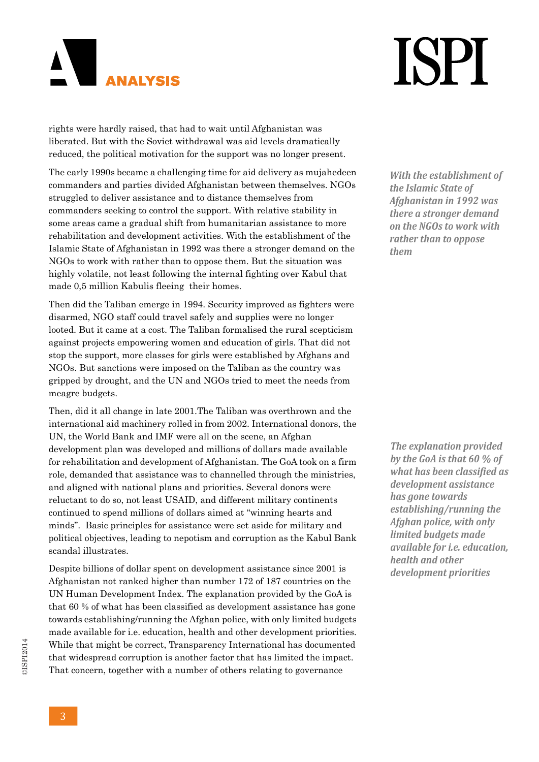### $\blacktriangle$  $\mathsf{I}$ **ANALYSIS**

## **ISPI**

rights were hardly raised, that had to wait until Afghanistan was liberated. But with the Soviet withdrawal was aid levels dramatically reduced, the political motivation for the support was no longer present.

The early 1990s became a challenging time for aid delivery as mujahedeen commanders and parties divided Afghanistan between themselves. NGOs struggled to deliver assistance and to distance themselves from commanders seeking to control the support. With relative stability in some areas came a gradual shift from humanitarian assistance to more rehabilitation and development activities. With the establishment of the Islamic State of Afghanistan in 1992 was there a stronger demand on the NGOs to work with rather than to oppose them. But the situation was highly volatile, not least following the internal fighting over Kabul that made 0,5 million Kabulis fleeing their homes.

Then did the Taliban emerge in 1994. Security improved as fighters were disarmed, NGO staff could travel safely and supplies were no longer looted. But it came at a cost. The Taliban formalised the rural scepticism against projects empowering women and education of girls. That did not stop the support, more classes for girls were established by Afghans and NGOs. But sanctions were imposed on the Taliban as the country was gripped by drought, and the UN and NGOs tried to meet the needs from meagre budgets.

Then, did it all change in late 2001.The Taliban was overthrown and the international aid machinery rolled in from 2002. International donors, the UN, the World Bank and IMF were all on the scene, an Afghan development plan was developed and millions of dollars made available for rehabilitation and development of Afghanistan. The GoA took on a firm role, demanded that assistance was to channelled through the ministries, and aligned with national plans and priorities. Several donors were reluctant to do so, not least USAID, and different military continents continued to spend millions of dollars aimed at "winning hearts and minds". Basic principles for assistance were set aside for military and political objectives, leading to nepotism and corruption as the Kabul Bank scandal illustrates.

Despite billions of dollar spent on development assistance since 2001 is Afghanistan not ranked higher than number 172 of 187 countries on the UN Human Development Index. The explanation provided by the GoA is that 60 % of what has been classified as development assistance has gone towards establishing/running the Afghan police, with only limited budgets made available for i.e. education, health and other development priorities. While that might be correct, Transparency International has documented that widespread corruption is another factor that has limited the impact. That concern, together with a number of others relating to governance

*With the establishment of the Islamic State of Afghanistan in 1992 was there a stronger demand on the NGOs to work with rather than to oppose them*

*The explanation provided by the GoA is that 60 % of what has been classified as development assistance has gone towards establishing/running the Afghan police, with only limited budgets made available for i.e. education, health and other development priorities*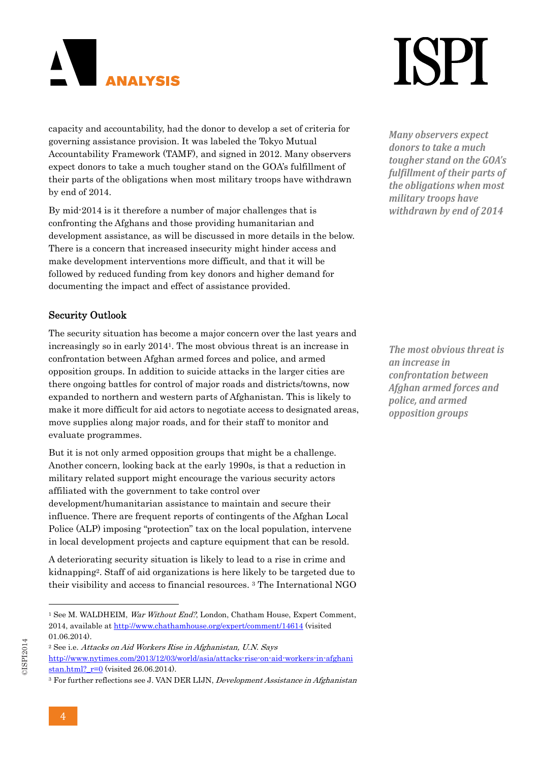

**ISPI** 

capacity and accountability, had the donor to develop a set of criteria for governing assistance provision. It was labeled the Tokyo Mutual Accountability Framework (TAMF), and signed in 2012. Many observers expect donors to take a much tougher stand on the GOA's fulfillment of their parts of the obligations when most military troops have withdrawn by end of 2014.

By mid-2014 is it therefore a number of major challenges that is confronting the Afghans and those providing humanitarian and development assistance, as will be discussed in more details in the below. There is a concern that increased insecurity might hinder access and make development interventions more difficult, and that it will be followed by reduced funding from key donors and higher demand for documenting the impact and effect of assistance provided.

#### Security Outlook

The security situation has become a major concern over the last years and increasingly so in early 20141. The most obvious threat is an increase in confrontation between Afghan armed forces and police, and armed opposition groups. In addition to suicide attacks in the larger cities are there ongoing battles for control of major roads and districts/towns, now expanded to northern and western parts of Afghanistan. This is likely to make it more difficult for aid actors to negotiate access to designated areas, move supplies along major roads, and for their staff to monitor and evaluate programmes.

But it is not only armed opposition groups that might be a challenge. Another concern, looking back at the early 1990s, is that a reduction in military related support might encourage the various security actors affiliated with the government to take control over development/humanitarian assistance to maintain and secure their influence. There are frequent reports of contingents of the Afghan Local Police (ALP) imposing "protection" tax on the local population, intervene in local development projects and capture equipment that can be resold.

A deteriorating security situation is likely to lead to a rise in crime and kidnapping2. Staff of aid organizations is here likely to be targeted due to their visibility and access to financial resources. 3 The International NGO

3 For further reflections see J. VAN DER LIJN, Development Assistance in Afghanistan

*Many observers expect donors to take a much tougher stand on the GOA's fulfillment of their parts of the obligations when most military troops have withdrawn by end of 2014*

*The most obvious threat is an increase in confrontation between Afghan armed forces and police, and armed opposition groups*

<sup>&</sup>lt;sup>1</sup> See M. WALDHEIM, *War Without End*?, London, Chatham House, Expert Comment, 2014, available at http://www.chathamhouse.org/expert/comment/14614 (visited 01.06.2014).

<sup>2</sup> See i.e. Attacks on Aid Workers Rise in Afghanistan, U.N. Says http://www.nytimes.com/2013/12/03/world/asia/attacks-rise-on-aid-workers-in-afghani stan.html?  $r=0$  (visited 26.06.2014).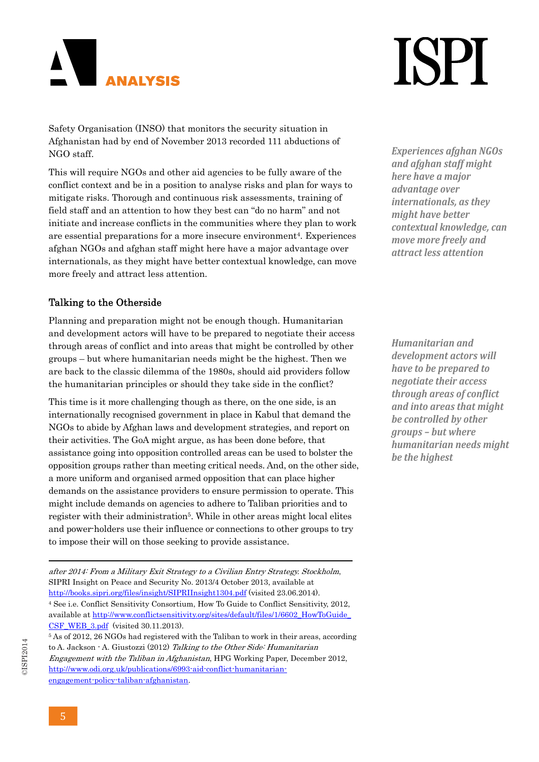

Safety Organisation (INSO) that monitors the security situation in Afghanistan had by end of November 2013 recorded 111 abductions of NGO staff.

This will require NGOs and other aid agencies to be fully aware of the conflict context and be in a position to analyse risks and plan for ways to mitigate risks. Thorough and continuous risk assessments, training of field staff and an attention to how they best can "do no harm" and not initiate and increase conflicts in the communities where they plan to work are essential preparations for a more insecure environment4. Experiences afghan NGOs and afghan staff might here have a major advantage over internationals, as they might have better contextual knowledge, can move more freely and attract less attention.

#### Talking to the Otherside

Planning and preparation might not be enough though. Humanitarian and development actors will have to be prepared to negotiate their access through areas of conflict and into areas that might be controlled by other groups – but where humanitarian needs might be the highest. Then we are back to the classic dilemma of the 1980s, should aid providers follow the humanitarian principles or should they take side in the conflict?

This time is it more challenging though as there, on the one side, is an internationally recognised government in place in Kabul that demand the NGOs to abide by Afghan laws and development strategies, and report on their activities. The GoA might argue, as has been done before, that assistance going into opposition controlled areas can be used to bolster the opposition groups rather than meeting critical needs. And, on the other side, a more uniform and organised armed opposition that can place higher demands on the assistance providers to ensure permission to operate. This might include demands on agencies to adhere to Taliban priorities and to register with their administration<sup>5</sup>. While in other areas might local elites and power-holders use their influence or connections to other groups to try to impose their will on those seeking to provide assistance.

after 2014: From a Military Exit Strategy to a Civilian Entry Strategy. Stockholm, SIPRI Insight on Peace and Security No. 2013/4 October 2013, available at http://books.sipri.org/files/insight/SIPRIInsight1304.pdf (visited 23.06.2014). 4 See i.e. Conflict Sensitivity Consortium, How To Guide to Conflict Sensitivity, 2012, available at http://www.conflictsensitivity.org/sites/default/files/1/6602\_HowToGuide\_ CSF\_WEB\_3.pdf (visited 30.11.2013).

<u> 1989 - Johann Stein, marwolaethau a bhannaich an t-Albann an t-Albann an t-Albann an t-Albann an t-Albann an</u>

5 As of 2012, 26 NGOs had registered with the Taliban to work in their areas, according to A. Jackson - A. Giustozzi (2012) Talking to the Other Side: Humanitarian Engagement with the Taliban in Afghanistan, HPG Working Paper, December 2012, http://www.odi.org.uk/publications/6993-aid-conflict-humanitarianengagement-policy-taliban-afghanistan.

## **ISPI**

*Experiences afghan NGOs and afghan staff might here have a major advantage over internationals, as they might have better contextual knowledge, can move more freely and attract less attention*

*Humanitarian and development actors will have to be prepared to negotiate their access through areas of conflict and into areas that might be controlled by other groups – but where humanitarian needs might be the highest*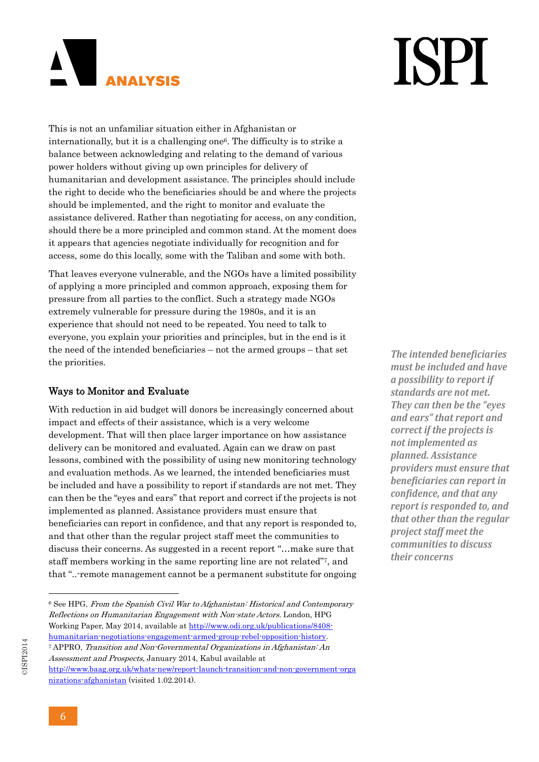### AN I  $\mathsf{I}$ **ANALYSIS**

# **ISPI**

This is not an unfamiliar situation either in Afghanistan or internationally, but it is a challenging one6. The difficulty is to strike a balance between acknowledging and relating to the demand of various power holders without giving up own principles for delivery of humanitarian and development assistance. The principles should include the right to decide who the beneficiaries should be and where the projects should be implemented, and the right to monitor and evaluate the assistance delivered. Rather than negotiating for access, on any condition, should there be a more principled and common stand. At the moment does it appears that agencies negotiate individually for recognition and for access, some do this locally, some with the Taliban and some with both.

That leaves everyone vulnerable, and the NGOs have a limited possibility of applying a more principled and common approach, exposing them for pressure from all parties to the conflict. Such a strategy made NGOs extremely vulnerable for pressure during the 1980s, and it is an experience that should not need to be repeated. You need to talk to everyone, you explain your priorities and principles, but in the end is it the need of the intended beneficiaries – not the armed groups – that set the priorities.

### Ways to Monitor and Evaluate

With reduction in aid budget will donors be increasingly concerned about impact and effects of their assistance, which is a very welcome development. That will then place larger importance on how assistance delivery can be monitored and evaluated. Again can we draw on past lessons, combined with the possibility of using new monitoring technology and evaluation methods. As we learned, the intended beneficiaries must be included and have a possibility to report if standards are not met. They can then be the "eyes and ears" that report and correct if the projects is not implemented as planned. Assistance providers must ensure that beneficiaries can report in confidence, and that any report is responded to, and that other than the regular project staff meet the communities to discuss their concerns. As suggested in a recent report "…make sure that staff members working in the same reporting line are not related"7, and that "..-remote management cannot be a permanent substitute for ongoing

Assessment and Prospects, January 2014, Kabul available at http://www.baag.org.uk/whats-new/report-launch-transition-and-non-government-orga nizations-afghanistan (visited 1.02.2014).

*The intended beneficiaries must be included and have a possibility to report if standards are not met. They can then be the "eyes and ears" that report and correct if the projects is not implemented as planned. Assistance providers must ensure that beneficiaries can report in confidence, and that any report is responded to, and that other than the regular project staff meet the communities to discuss their concerns*

 6 See HPG, From the Spanish Civil War to Afghanistan: Historical and Contemporary Reflections on Humanitarian Engagement with Non-state Actors. London, HPG Working Paper, May 2014, available at http://www.odi.org.uk/publications/8408 humanitarian-negotiations-engagement-armed-group-rebel-opposition-history. 7 APPRO, Transition and Non-Governmental Organizations in Afghanistan: An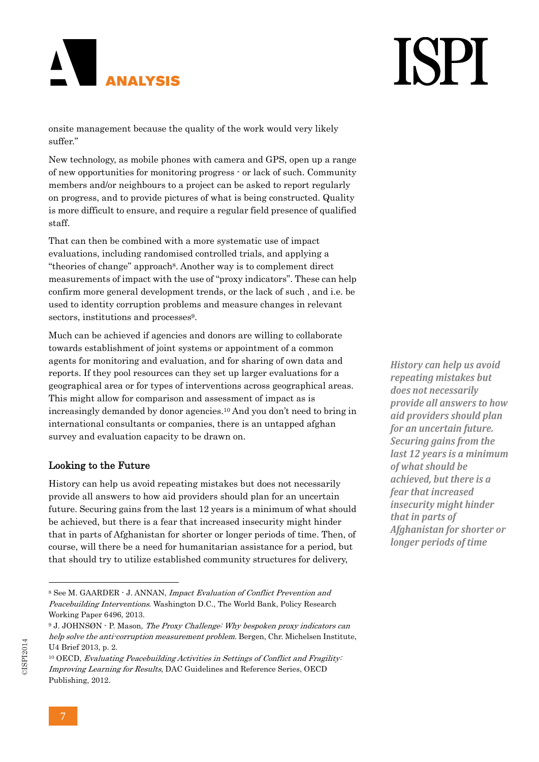# **ISPI**

onsite management because the quality of the work would very likely suffer."

New technology, as mobile phones with camera and GPS, open up a range of new opportunities for monitoring progress - or lack of such. Community members and/or neighbours to a project can be asked to report regularly on progress, and to provide pictures of what is being constructed. Quality is more difficult to ensure, and require a regular field presence of qualified staff.

That can then be combined with a more systematic use of impact evaluations, including randomised controlled trials, and applying a "theories of change" approach8. Another way is to complement direct measurements of impact with the use of "proxy indicators". These can help confirm more general development trends, or the lack of such , and i.e. be used to identity corruption problems and measure changes in relevant sectors, institutions and processes<sup>9</sup>.

Much can be achieved if agencies and donors are willing to collaborate towards establishment of joint systems or appointment of a common agents for monitoring and evaluation, and for sharing of own data and reports. If they pool resources can they set up larger evaluations for a geographical area or for types of interventions across geographical areas. This might allow for comparison and assessment of impact as is increasingly demanded by donor agencies.10 And you don't need to bring in international consultants or companies, there is an untapped afghan survey and evaluation capacity to be drawn on.

#### Looking to the Future

 $\mathbf{I}$ 

**ANALYSIS** 

History can help us avoid repeating mistakes but does not necessarily provide all answers to how aid providers should plan for an uncertain future. Securing gains from the last 12 years is a minimum of what should be achieved, but there is a fear that increased insecurity might hinder that in parts of Afghanistan for shorter or longer periods of time. Then, of course, will there be a need for humanitarian assistance for a period, but that should try to utilize established community structures for delivery,

*History can help us avoid repeating mistakes but does not necessarily provide all answers to how aid providers should plan for an uncertain future. Securing gains from the last 12 years is a minimum of what should be achieved, but there is a fear that increased insecurity might hinder that in parts of Afghanistan for shorter or longer periods of time*

<sup>8</sup> See M. GAARDER - J. ANNAN, Impact Evaluation of Conflict Prevention and Peacebuilding Interventions. Washington D.C., The World Bank, Policy Research Working Paper 6496, 2013.

<sup>9</sup> J. JOHNSØN - P. Mason, The Proxy Challenge: Why bespoken proxy indicators can help solve the anti-corruption measurement problem. Bergen, Chr. Michelsen Institute, U4 Brief 2013, p. 2.

<sup>&</sup>lt;sup>10</sup> OECD, Evaluating Peacebuilding Activities in Settings of Conflict and Fragility: Improving Learning for Results, DAC Guidelines and Reference Series, OECD Publishing, 2012.